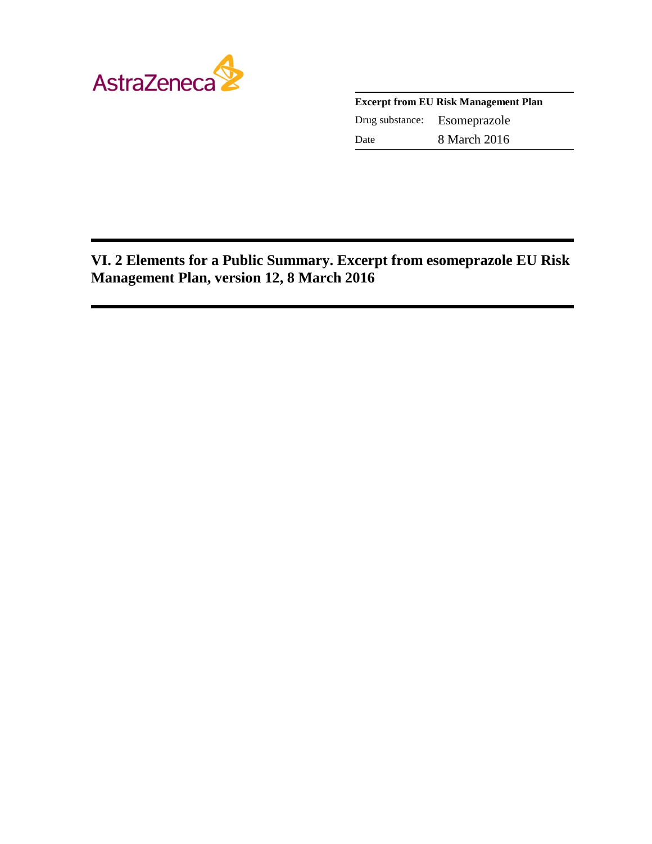

| <b>Excerpt from EU Risk Management Plan</b> |              |
|---------------------------------------------|--------------|
| Drug substance:                             | Esomeprazole |
| Date                                        | 8 March 2016 |

**VI. 2 Elements for a Public Summary. Excerpt from esomeprazole EU Risk Management Plan, version 12, 8 March 2016**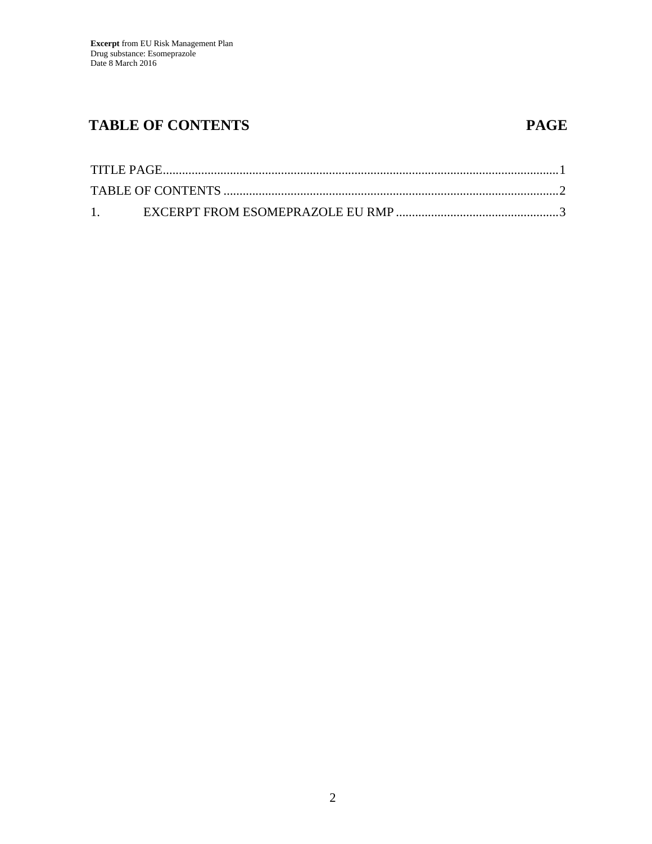## **TABLE OF CONTENTS PAGE**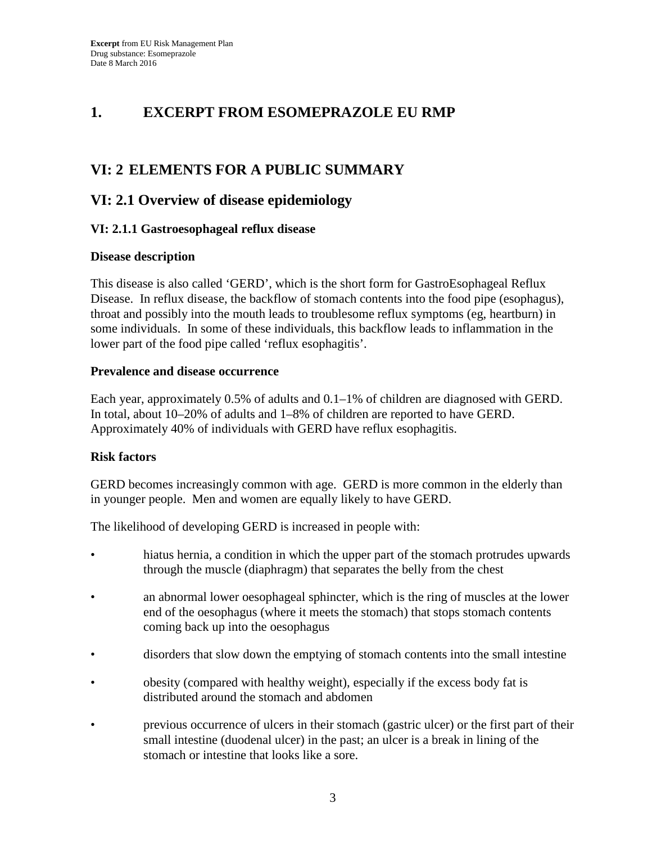## **1. EXCERPT FROM ESOMEPRAZOLE EU RMP**

## **VI: 2 ELEMENTS FOR A PUBLIC SUMMARY**

## **VI: 2.1 Overview of disease epidemiology**

#### **VI: 2.1.1 Gastroesophageal reflux disease**

#### **Disease description**

This disease is also called 'GERD', which is the short form for GastroEsophageal Reflux Disease. In reflux disease, the backflow of stomach contents into the food pipe (esophagus), throat and possibly into the mouth leads to troublesome reflux symptoms (eg, heartburn) in some individuals. In some of these individuals, this backflow leads to inflammation in the lower part of the food pipe called 'reflux esophagitis'.

#### **Prevalence and disease occurrence**

Each year, approximately 0.5% of adults and 0.1–1% of children are diagnosed with GERD. In total, about 10–20% of adults and 1–8% of children are reported to have GERD. Approximately 40% of individuals with GERD have reflux esophagitis.

#### **Risk factors**

GERD becomes increasingly common with age. GERD is more common in the elderly than in younger people. Men and women are equally likely to have GERD.

The likelihood of developing GERD is increased in people with:

- hiatus hernia, a condition in which the upper part of the stomach protrudes upwards through the muscle (diaphragm) that separates the belly from the chest
- an abnormal lower oesophageal sphincter, which is the ring of muscles at the lower end of the oesophagus (where it meets the stomach) that stops stomach contents coming back up into the oesophagus
- disorders that slow down the emptying of stomach contents into the small intestine
- obesity (compared with healthy weight), especially if the excess body fat is distributed around the stomach and abdomen
- previous occurrence of ulcers in their stomach (gastric ulcer) or the first part of their small intestine (duodenal ulcer) in the past; an ulcer is a break in lining of the stomach or intestine that looks like a sore.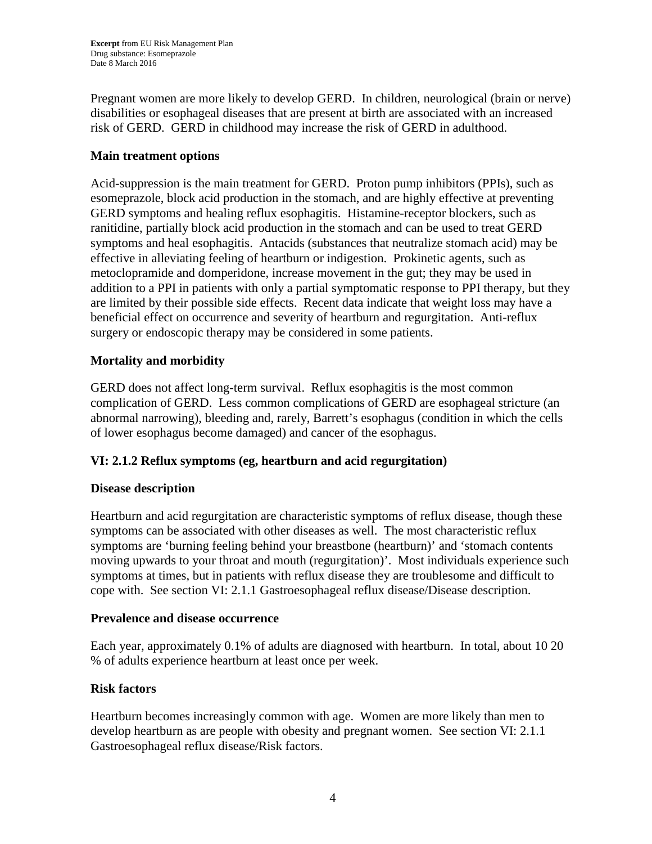Pregnant women are more likely to develop GERD. In children, neurological (brain or nerve) disabilities or esophageal diseases that are present at birth are associated with an increased risk of GERD. GERD in childhood may increase the risk of GERD in adulthood.

#### **Main treatment options**

Acid-suppression is the main treatment for GERD. Proton pump inhibitors (PPIs), such as esomeprazole, block acid production in the stomach, and are highly effective at preventing GERD symptoms and healing reflux esophagitis. Histamine-receptor blockers, such as ranitidine, partially block acid production in the stomach and can be used to treat GERD symptoms and heal esophagitis. Antacids (substances that neutralize stomach acid) may be effective in alleviating feeling of heartburn or indigestion. Prokinetic agents, such as metoclopramide and domperidone, increase movement in the gut; they may be used in addition to a PPI in patients with only a partial symptomatic response to PPI therapy, but they are limited by their possible side effects. Recent data indicate that weight loss may have a beneficial effect on occurrence and severity of heartburn and regurgitation. Anti-reflux surgery or endoscopic therapy may be considered in some patients.

#### **Mortality and morbidity**

GERD does not affect long-term survival. Reflux esophagitis is the most common complication of GERD. Less common complications of GERD are esophageal stricture (an abnormal narrowing), bleeding and, rarely, Barrett's esophagus (condition in which the cells of lower esophagus become damaged) and cancer of the esophagus.

#### **VI: 2.1.2 Reflux symptoms (eg, heartburn and acid regurgitation)**

#### **Disease description**

Heartburn and acid regurgitation are characteristic symptoms of reflux disease, though these symptoms can be associated with other diseases as well. The most characteristic reflux symptoms are 'burning feeling behind your breastbone (heartburn)' and 'stomach contents moving upwards to your throat and mouth (regurgitation)'. Most individuals experience such symptoms at times, but in patients with reflux disease they are troublesome and difficult to cope with. See section VI: 2.1.1 Gastroesophageal reflux disease/Disease description.

#### **Prevalence and disease occurrence**

Each year, approximately 0.1% of adults are diagnosed with heartburn. In total, about 10 20 % of adults experience heartburn at least once per week.

#### **Risk factors**

Heartburn becomes increasingly common with age. Women are more likely than men to develop heartburn as are people with obesity and pregnant women. See section VI: 2.1.1 Gastroesophageal reflux disease/Risk factors.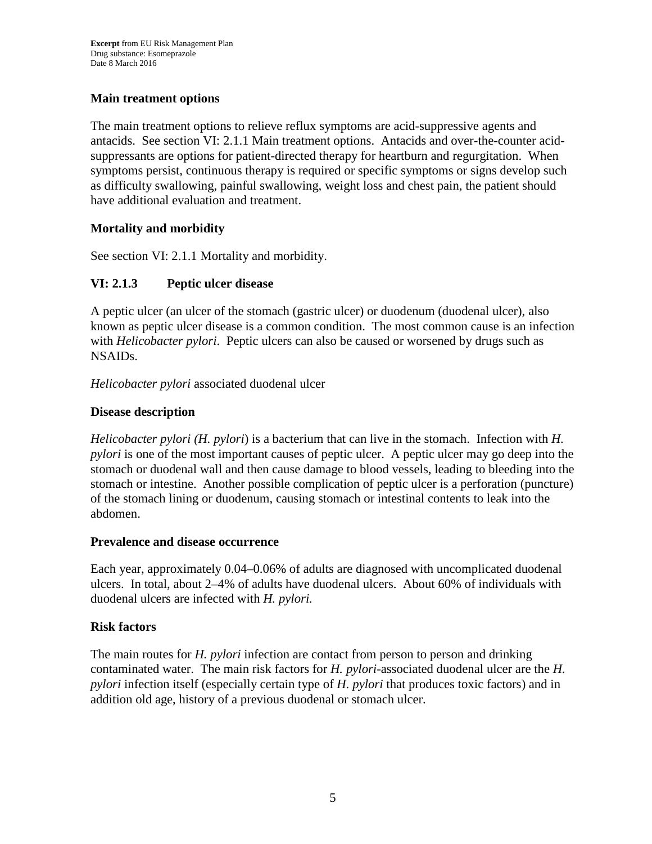### **Main treatment options**

The main treatment options to relieve reflux symptoms are acid-suppressive agents and antacids. See section VI: 2.1.1 Main treatment options. Antacids and over-the-counter acidsuppressants are options for patient-directed therapy for heartburn and regurgitation. When symptoms persist, continuous therapy is required or specific symptoms or signs develop such as difficulty swallowing, painful swallowing, weight loss and chest pain, the patient should have additional evaluation and treatment.

### **Mortality and morbidity**

See section VI: 2.1.1 Mortality and morbidity.

### **VI: 2.1.3 Peptic ulcer disease**

A peptic ulcer (an ulcer of the stomach (gastric ulcer) or duodenum (duodenal ulcer), also known as peptic ulcer disease is a common condition. The most common cause is an infection with *Helicobacter pylori*. Peptic ulcers can also be caused or worsened by drugs such as NSAIDs.

*Helicobacter pylori* associated duodenal ulcer

### **Disease description**

*Helicobacter pylori (H. pylori*) is a bacterium that can live in the stomach. Infection with *H. pylori* is one of the most important causes of peptic ulcer. A peptic ulcer may go deep into the stomach or duodenal wall and then cause damage to blood vessels, leading to bleeding into the stomach or intestine. Another possible complication of peptic ulcer is a perforation (puncture) of the stomach lining or duodenum, causing stomach or intestinal contents to leak into the abdomen.

#### **Prevalence and disease occurrence**

Each year, approximately 0.04–0.06% of adults are diagnosed with uncomplicated duodenal ulcers. In total, about 2–4% of adults have duodenal ulcers. About 60% of individuals with duodenal ulcers are infected with *H. pylori.*

### **Risk factors**

The main routes for *H. pylori* infection are contact from person to person and drinking contaminated water. The main risk factors for *H. pylori*-associated duodenal ulcer are the *H. pylori* infection itself (especially certain type of *H. pylori* that produces toxic factors) and in addition old age, history of a previous duodenal or stomach ulcer.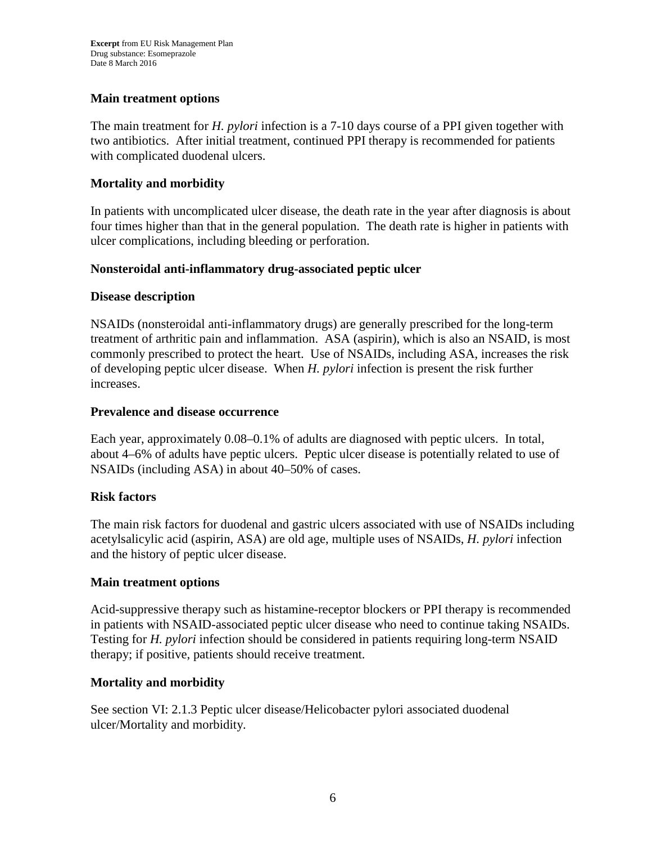#### **Main treatment options**

The main treatment for *H. pylori* infection is a 7-10 days course of a PPI given together with two antibiotics. After initial treatment, continued PPI therapy is recommended for patients with complicated duodenal ulcers.

#### **Mortality and morbidity**

In patients with uncomplicated ulcer disease, the death rate in the year after diagnosis is about four times higher than that in the general population. The death rate is higher in patients with ulcer complications, including bleeding or perforation.

#### **Nonsteroidal anti-inflammatory drug-associated peptic ulcer**

#### **Disease description**

NSAIDs (nonsteroidal anti-inflammatory drugs) are generally prescribed for the long-term treatment of arthritic pain and inflammation. ASA (aspirin), which is also an NSAID, is most commonly prescribed to protect the heart. Use of NSAIDs, including ASA, increases the risk of developing peptic ulcer disease. When *H. pylori* infection is present the risk further increases.

#### **Prevalence and disease occurrence**

Each year, approximately 0.08–0.1% of adults are diagnosed with peptic ulcers. In total, about 4–6% of adults have peptic ulcers. Peptic ulcer disease is potentially related to use of NSAIDs (including ASA) in about 40–50% of cases.

#### **Risk factors**

The main risk factors for duodenal and gastric ulcers associated with use of NSAIDs including acetylsalicylic acid (aspirin, ASA) are old age, multiple uses of NSAIDs, *H. pylori* infection and the history of peptic ulcer disease.

#### **Main treatment options**

Acid-suppressive therapy such as histamine-receptor blockers or PPI therapy is recommended in patients with NSAID-associated peptic ulcer disease who need to continue taking NSAIDs. Testing for *H. pylori* infection should be considered in patients requiring long-term NSAID therapy; if positive, patients should receive treatment.

#### **Mortality and morbidity**

See section VI: 2.1.3 Peptic ulcer disease/Helicobacter pylori associated duodenal ulcer/Mortality and morbidity.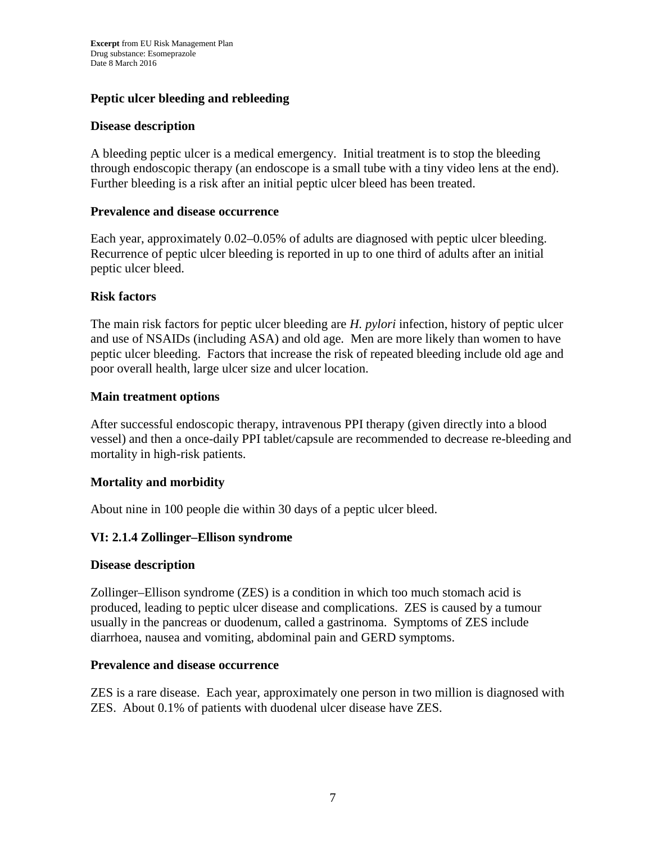#### **Peptic ulcer bleeding and rebleeding**

#### **Disease description**

A bleeding peptic ulcer is a medical emergency. Initial treatment is to stop the bleeding through endoscopic therapy (an endoscope is a small tube with a tiny video lens at the end). Further bleeding is a risk after an initial peptic ulcer bleed has been treated.

#### **Prevalence and disease occurrence**

Each year, approximately 0.02–0.05% of adults are diagnosed with peptic ulcer bleeding. Recurrence of peptic ulcer bleeding is reported in up to one third of adults after an initial peptic ulcer bleed.

#### **Risk factors**

The main risk factors for peptic ulcer bleeding are *H. pylori* infection, history of peptic ulcer and use of NSAIDs (including ASA) and old age. Men are more likely than women to have peptic ulcer bleeding. Factors that increase the risk of repeated bleeding include old age and poor overall health, large ulcer size and ulcer location.

#### **Main treatment options**

After successful endoscopic therapy, intravenous PPI therapy (given directly into a blood vessel) and then a once-daily PPI tablet/capsule are recommended to decrease re-bleeding and mortality in high-risk patients.

#### **Mortality and morbidity**

About nine in 100 people die within 30 days of a peptic ulcer bleed.

#### **VI: 2.1.4 Zollinger–Ellison syndrome**

#### **Disease description**

Zollinger–Ellison syndrome (ZES) is a condition in which too much stomach acid is produced, leading to peptic ulcer disease and complications. ZES is caused by a tumour usually in the pancreas or duodenum, called a gastrinoma. Symptoms of ZES include diarrhoea, nausea and vomiting, abdominal pain and GERD symptoms.

#### **Prevalence and disease occurrence**

ZES is a rare disease. Each year, approximately one person in two million is diagnosed with ZES. About 0.1% of patients with duodenal ulcer disease have ZES.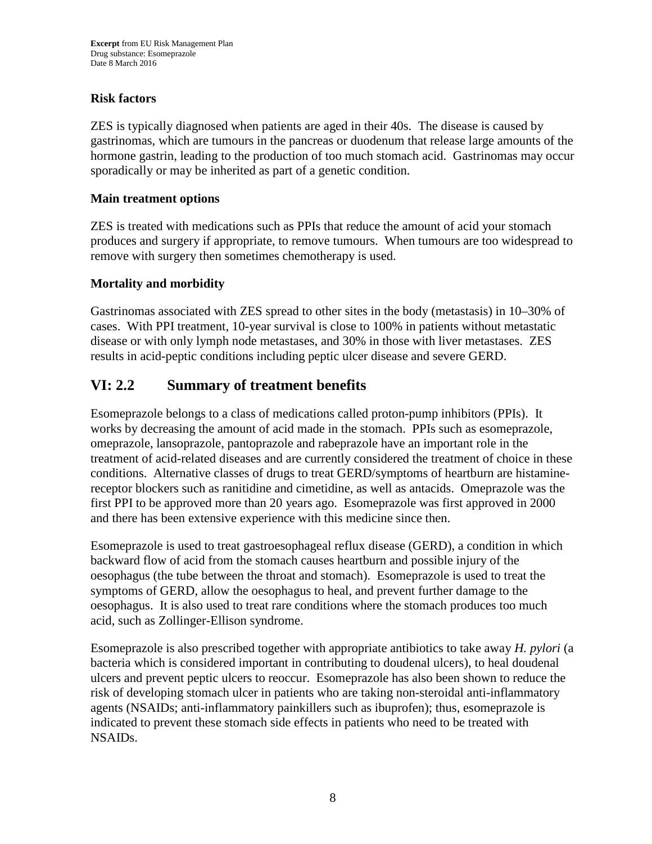#### **Risk factors**

ZES is typically diagnosed when patients are aged in their 40s. The disease is caused by gastrinomas, which are tumours in the pancreas or duodenum that release large amounts of the hormone gastrin, leading to the production of too much stomach acid. Gastrinomas may occur sporadically or may be inherited as part of a genetic condition.

#### **Main treatment options**

ZES is treated with medications such as PPIs that reduce the amount of acid your stomach produces and surgery if appropriate, to remove tumours. When tumours are too widespread to remove with surgery then sometimes chemotherapy is used.

#### **Mortality and morbidity**

Gastrinomas associated with ZES spread to other sites in the body (metastasis) in 10–30% of cases. With PPI treatment, 10-year survival is close to 100% in patients without metastatic disease or with only lymph node metastases, and 30% in those with liver metastases. ZES results in acid-peptic conditions including peptic ulcer disease and severe GERD.

## **VI: 2.2 Summary of treatment benefits**

Esomeprazole belongs to a class of medications called proton-pump inhibitors (PPIs). It works by decreasing the amount of acid made in the stomach. PPIs such as esomeprazole, omeprazole, lansoprazole, pantoprazole and rabeprazole have an important role in the treatment of acid-related diseases and are currently considered the treatment of choice in these conditions. Alternative classes of drugs to treat GERD/symptoms of heartburn are histaminereceptor blockers such as ranitidine and cimetidine, as well as antacids. Omeprazole was the first PPI to be approved more than 20 years ago. Esomeprazole was first approved in 2000 and there has been extensive experience with this medicine since then.

Esomeprazole is used to treat gastroesophageal reflux disease (GERD), a condition in which backward flow of acid from the stomach causes heartburn and possible injury of the oesophagus (the tube between the throat and stomach). Esomeprazole is used to treat the symptoms of GERD, allow the oesophagus to heal, and prevent further damage to the oesophagus. It is also used to treat rare conditions where the stomach produces too much acid, such as Zollinger-Ellison syndrome.

Esomeprazole is also prescribed together with appropriate antibiotics to take away *H. pylori* (a bacteria which is considered important in contributing to doudenal ulcers), to heal doudenal ulcers and prevent peptic ulcers to reoccur. Esomeprazole has also been shown to reduce the risk of developing stomach ulcer in patients who are taking non-steroidal anti-inflammatory agents (NSAIDs; anti-inflammatory painkillers such as ibuprofen); thus, esomeprazole is indicated to prevent these stomach side effects in patients who need to be treated with NSAIDs.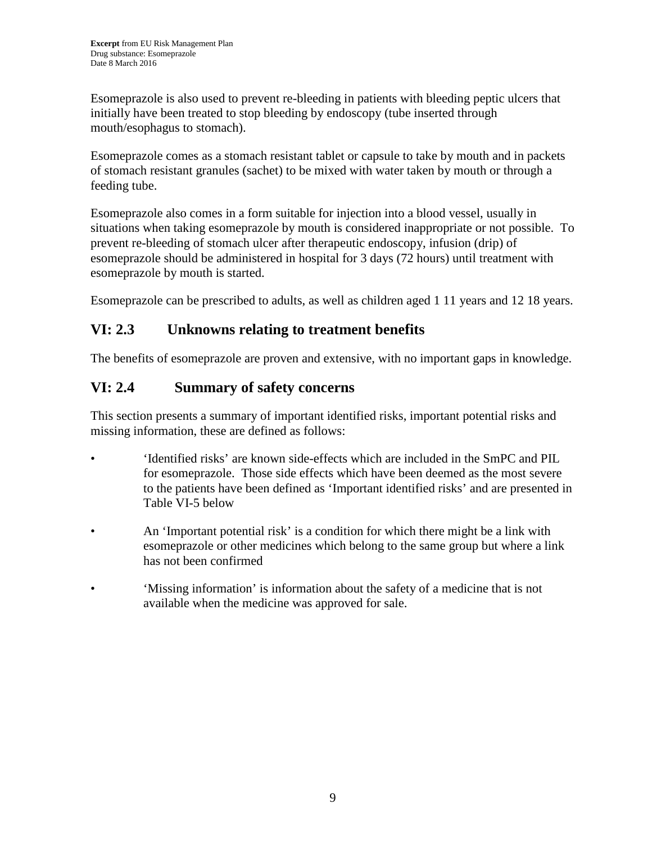Esomeprazole is also used to prevent re-bleeding in patients with bleeding peptic ulcers that initially have been treated to stop bleeding by endoscopy (tube inserted through mouth/esophagus to stomach).

Esomeprazole comes as a stomach resistant tablet or capsule to take by mouth and in packets of stomach resistant granules (sachet) to be mixed with water taken by mouth or through a feeding tube.

Esomeprazole also comes in a form suitable for injection into a blood vessel, usually in situations when taking esomeprazole by mouth is considered inappropriate or not possible. To prevent re-bleeding of stomach ulcer after therapeutic endoscopy, infusion (drip) of esomeprazole should be administered in hospital for 3 days (72 hours) until treatment with esomeprazole by mouth is started.

Esomeprazole can be prescribed to adults, as well as children aged 1 11 years and 12 18 years.

## **VI: 2.3 Unknowns relating to treatment benefits**

The benefits of esomeprazole are proven and extensive, with no important gaps in knowledge.

## **VI: 2.4 Summary of safety concerns**

This section presents a summary of important identified risks, important potential risks and missing information, these are defined as follows:

- 'Identified risks' are known side-effects which are included in the SmPC and PIL for esomeprazole. Those side effects which have been deemed as the most severe to the patients have been defined as 'Important identified risks' and are presented in Table VI-5 below
- An 'Important potential risk' is a condition for which there might be a link with esomeprazole or other medicines which belong to the same group but where a link has not been confirmed
- 'Missing information' is information about the safety of a medicine that is not available when the medicine was approved for sale.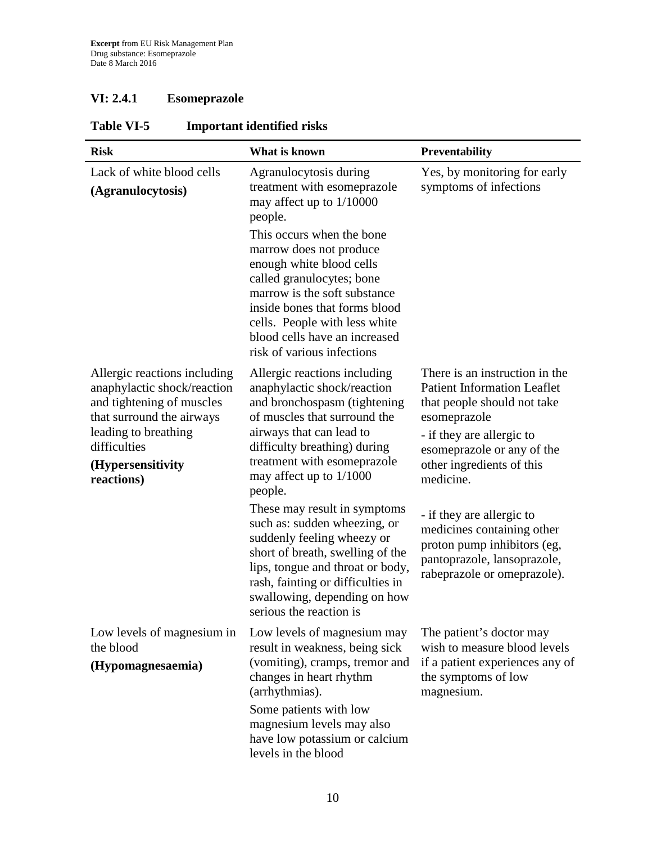## **VI: 2.4.1 Esomeprazole**

| <b>Risk</b>                                                                                                                                                                                      | What is known                                                                                                                                                                                                                                                                                                                                                                  | Preventability                                                                                                                                                                                                           |
|--------------------------------------------------------------------------------------------------------------------------------------------------------------------------------------------------|--------------------------------------------------------------------------------------------------------------------------------------------------------------------------------------------------------------------------------------------------------------------------------------------------------------------------------------------------------------------------------|--------------------------------------------------------------------------------------------------------------------------------------------------------------------------------------------------------------------------|
| Lack of white blood cells<br>(Agranulocytosis)                                                                                                                                                   | Agranulocytosis during<br>treatment with esomeprazole<br>may affect up to 1/10000<br>people.<br>This occurs when the bone<br>marrow does not produce<br>enough white blood cells<br>called granulocytes; bone<br>marrow is the soft substance<br>inside bones that forms blood<br>cells. People with less white<br>blood cells have an increased<br>risk of various infections | Yes, by monitoring for early<br>symptoms of infections                                                                                                                                                                   |
| Allergic reactions including<br>anaphylactic shock/reaction<br>and tightening of muscles<br>that surround the airways<br>leading to breathing<br>difficulties<br>(Hypersensitivity<br>reactions) | Allergic reactions including<br>anaphylactic shock/reaction<br>and bronchospasm (tightening<br>of muscles that surround the<br>airways that can lead to<br>difficulty breathing) during<br>treatment with esomeprazole<br>may affect up to $1/1000$<br>people.                                                                                                                 | There is an instruction in the<br><b>Patient Information Leaflet</b><br>that people should not take<br>esomeprazole<br>- if they are allergic to<br>esomeprazole or any of the<br>other ingredients of this<br>medicine. |
|                                                                                                                                                                                                  | These may result in symptoms<br>such as: sudden wheezing, or<br>suddenly feeling wheezy or<br>short of breath, swelling of the<br>lips, tongue and throat or body,<br>rash, fainting or difficulties in<br>swallowing, depending on how<br>serious the reaction is                                                                                                             | - if they are allergic to<br>medicines containing other<br>proton pump inhibitors (eg,<br>pantoprazole, lansoprazole,<br>rabeprazole or omeprazole).                                                                     |
| Low levels of magnesium in<br>the blood<br>(Hypomagnesaemia)                                                                                                                                     | Low levels of magnesium may<br>result in weakness, being sick<br>(vomiting), cramps, tremor and<br>changes in heart rhythm<br>(arrhythmias).<br>Some patients with low<br>magnesium levels may also<br>have low potassium or calcium<br>levels in the blood                                                                                                                    | The patient's doctor may<br>wish to measure blood levels<br>if a patient experiences any of<br>the symptoms of low<br>magnesium.                                                                                         |

## **Table VI-5 Important identified risks**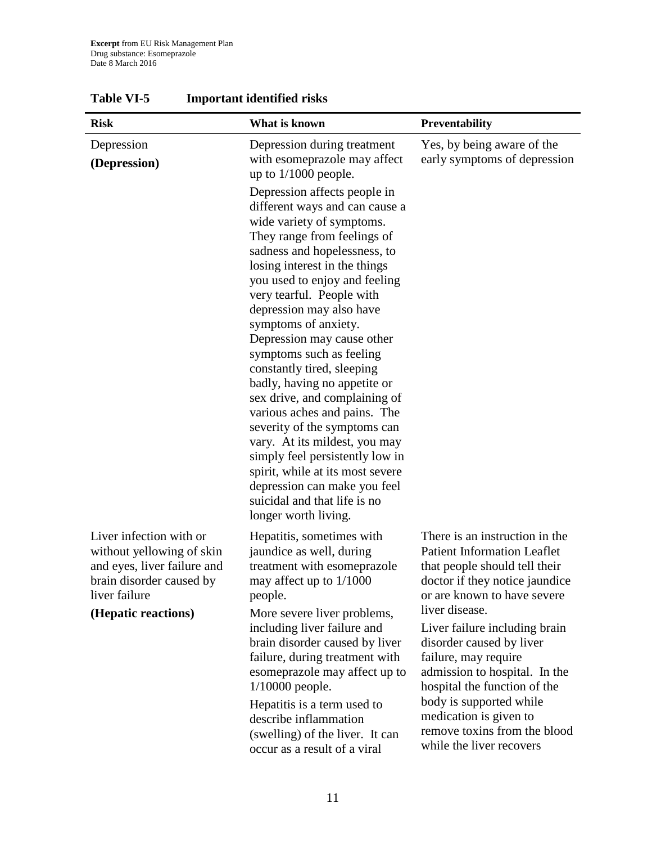| <b>Risk</b>                                                                                                                                             | What is known                                                                                                                                                                                                                                                                                                                                                                                                                                                                                                                                                                                                                                                                                                                          | <b>Preventability</b>                                                                                                                                                                                                                                                                                                                                                                                                                                           |
|---------------------------------------------------------------------------------------------------------------------------------------------------------|----------------------------------------------------------------------------------------------------------------------------------------------------------------------------------------------------------------------------------------------------------------------------------------------------------------------------------------------------------------------------------------------------------------------------------------------------------------------------------------------------------------------------------------------------------------------------------------------------------------------------------------------------------------------------------------------------------------------------------------|-----------------------------------------------------------------------------------------------------------------------------------------------------------------------------------------------------------------------------------------------------------------------------------------------------------------------------------------------------------------------------------------------------------------------------------------------------------------|
| Depression<br>(Depression)                                                                                                                              | Depression during treatment<br>with esomeprazole may affect<br>up to $1/1000$ people.                                                                                                                                                                                                                                                                                                                                                                                                                                                                                                                                                                                                                                                  | Yes, by being aware of the<br>early symptoms of depression                                                                                                                                                                                                                                                                                                                                                                                                      |
|                                                                                                                                                         | Depression affects people in<br>different ways and can cause a<br>wide variety of symptoms.<br>They range from feelings of<br>sadness and hopelessness, to<br>losing interest in the things<br>you used to enjoy and feeling<br>very tearful. People with<br>depression may also have<br>symptoms of anxiety.<br>Depression may cause other<br>symptoms such as feeling<br>constantly tired, sleeping<br>badly, having no appetite or<br>sex drive, and complaining of<br>various aches and pains. The<br>severity of the symptoms can<br>vary. At its mildest, you may<br>simply feel persistently low in<br>spirit, while at its most severe<br>depression can make you feel<br>suicidal and that life is no<br>longer worth living. |                                                                                                                                                                                                                                                                                                                                                                                                                                                                 |
| Liver infection with or<br>without yellowing of skin<br>and eyes, liver failure and<br>brain disorder caused by<br>liver failure<br>(Hepatic reactions) | Hepatitis, sometimes with<br>jaundice as well, during<br>treatment with esomeprazole<br>may affect up to 1/1000<br>people.<br>More severe liver problems,<br>including liver failure and<br>brain disorder caused by liver<br>failure, during treatment with<br>esomeprazole may affect up to<br>$1/10000$ people.<br>Hepatitis is a term used to<br>describe inflammation<br>(swelling) of the liver. It can<br>occur as a result of a viral                                                                                                                                                                                                                                                                                          | There is an instruction in the<br><b>Patient Information Leaflet</b><br>that people should tell their<br>doctor if they notice jaundice<br>or are known to have severe<br>liver disease.<br>Liver failure including brain<br>disorder caused by liver<br>failure, may require<br>admission to hospital. In the<br>hospital the function of the<br>body is supported while<br>medication is given to<br>remove toxins from the blood<br>while the liver recovers |

**Table VI-5 Important identified risks**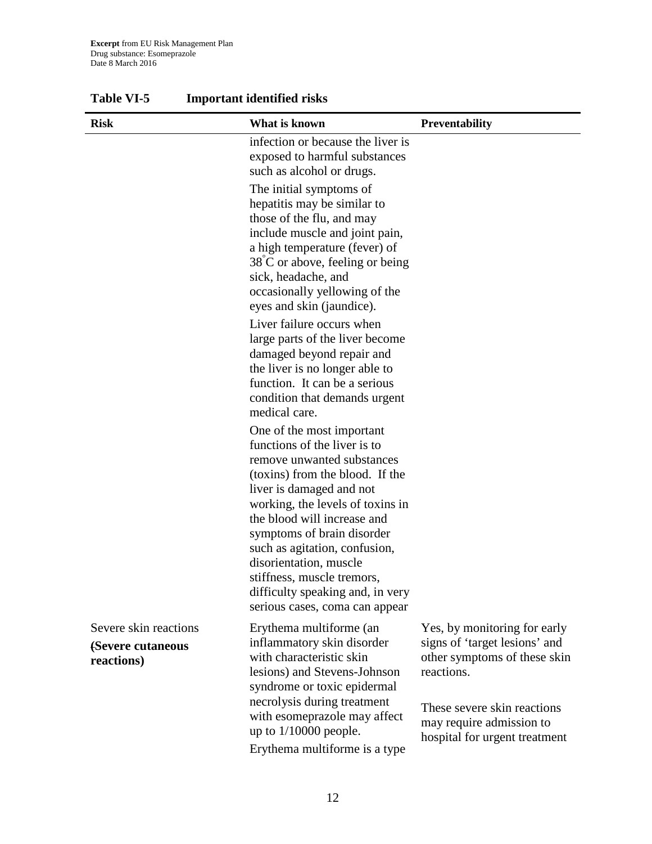| <b>Risk</b>                                              | What is known                                                                                                                                                                                                                                                                                                                                                                                                          | <b>Preventability</b>                                                                                                                                                                                   |
|----------------------------------------------------------|------------------------------------------------------------------------------------------------------------------------------------------------------------------------------------------------------------------------------------------------------------------------------------------------------------------------------------------------------------------------------------------------------------------------|---------------------------------------------------------------------------------------------------------------------------------------------------------------------------------------------------------|
|                                                          | infection or because the liver is<br>exposed to harmful substances<br>such as alcohol or drugs.                                                                                                                                                                                                                                                                                                                        |                                                                                                                                                                                                         |
|                                                          | The initial symptoms of<br>hepatitis may be similar to<br>those of the flu, and may<br>include muscle and joint pain,<br>a high temperature (fever) of<br>$38^{\circ}$ C or above, feeling or being<br>sick, headache, and<br>occasionally yellowing of the<br>eyes and skin (jaundice).                                                                                                                               |                                                                                                                                                                                                         |
|                                                          | Liver failure occurs when<br>large parts of the liver become<br>damaged beyond repair and<br>the liver is no longer able to<br>function. It can be a serious<br>condition that demands urgent<br>medical care.                                                                                                                                                                                                         |                                                                                                                                                                                                         |
|                                                          | One of the most important<br>functions of the liver is to<br>remove unwanted substances<br>(toxins) from the blood. If the<br>liver is damaged and not<br>working, the levels of toxins in<br>the blood will increase and<br>symptoms of brain disorder<br>such as agitation, confusion,<br>disorientation, muscle<br>stiffness, muscle tremors,<br>difficulty speaking and, in very<br>serious cases, coma can appear |                                                                                                                                                                                                         |
| Severe skin reactions<br>(Severe cutaneous<br>reactions) | Erythema multiforme (an<br>inflammatory skin disorder<br>with characteristic skin<br>lesions) and Stevens-Johnson<br>syndrome or toxic epidermal<br>necrolysis during treatment<br>with esomeprazole may affect<br>up to $1/10000$ people.<br>Erythema multiforme is a type                                                                                                                                            | Yes, by monitoring for early<br>signs of 'target lesions' and<br>other symptoms of these skin<br>reactions.<br>These severe skin reactions<br>may require admission to<br>hospital for urgent treatment |

**Table VI-5 Important identified risks**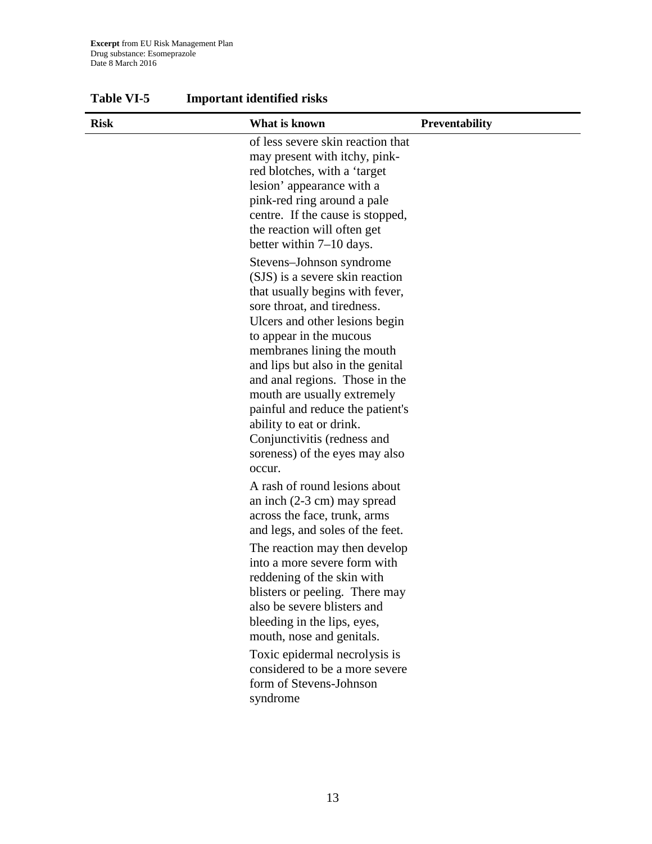| <b>Risk</b> | What is known                                                                                                                                                                                                                                                                                                                                                                                                                                                            | <b>Preventability</b> |
|-------------|--------------------------------------------------------------------------------------------------------------------------------------------------------------------------------------------------------------------------------------------------------------------------------------------------------------------------------------------------------------------------------------------------------------------------------------------------------------------------|-----------------------|
|             | of less severe skin reaction that<br>may present with itchy, pink-<br>red blotches, with a 'target<br>lesion' appearance with a<br>pink-red ring around a pale<br>centre. If the cause is stopped,<br>the reaction will often get<br>better within $7-10$ days.                                                                                                                                                                                                          |                       |
|             | Stevens-Johnson syndrome<br>(SJS) is a severe skin reaction<br>that usually begins with fever,<br>sore throat, and tiredness.<br>Ulcers and other lesions begin<br>to appear in the mucous<br>membranes lining the mouth<br>and lips but also in the genital<br>and anal regions. Those in the<br>mouth are usually extremely<br>painful and reduce the patient's<br>ability to eat or drink.<br>Conjunctivitis (redness and<br>soreness) of the eyes may also<br>occur. |                       |
|             | A rash of round lesions about<br>an inch $(2-3$ cm) may spread<br>across the face, trunk, arms<br>and legs, and soles of the feet.                                                                                                                                                                                                                                                                                                                                       |                       |
|             | The reaction may then develop<br>into a more severe form with<br>reddening of the skin with<br>blisters or peeling. There may<br>also be severe blisters and<br>bleeding in the lips, eyes,<br>mouth, nose and genitals.                                                                                                                                                                                                                                                 |                       |
|             | Toxic epidermal necrolysis is<br>considered to be a more severe<br>form of Stevens-Johnson<br>syndrome                                                                                                                                                                                                                                                                                                                                                                   |                       |

**Table VI-5 Important identified risks**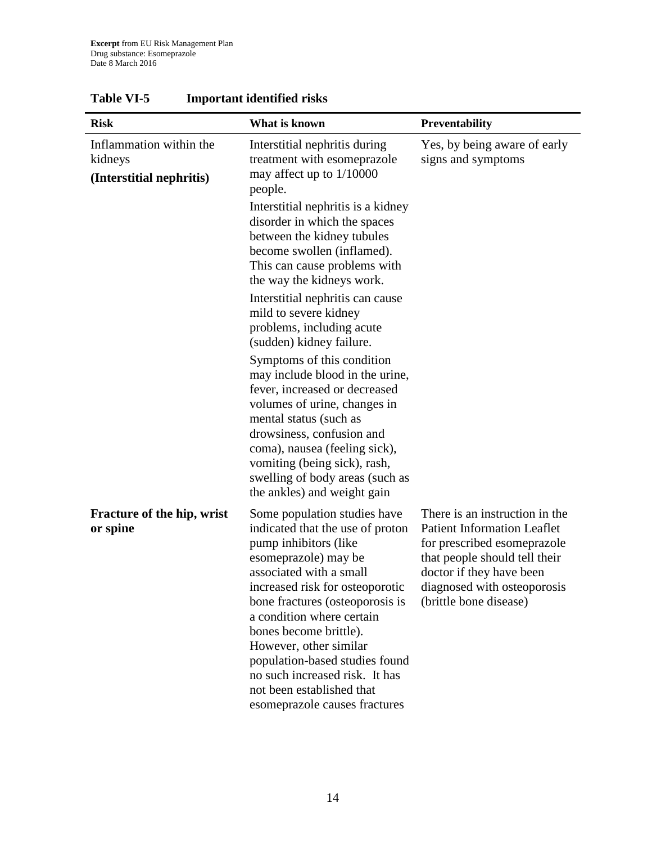| <b>Risk</b>                                                    | What is known                                                                                                                                                                                                                                                                                                                                                                                                                         | Preventability                                                                                                                                                                                                            |
|----------------------------------------------------------------|---------------------------------------------------------------------------------------------------------------------------------------------------------------------------------------------------------------------------------------------------------------------------------------------------------------------------------------------------------------------------------------------------------------------------------------|---------------------------------------------------------------------------------------------------------------------------------------------------------------------------------------------------------------------------|
| Inflammation within the<br>kidneys<br>(Interstitial nephritis) | Interstitial nephritis during<br>treatment with esomeprazole<br>may affect up to 1/10000<br>people.<br>Interstitial nephritis is a kidney<br>disorder in which the spaces<br>between the kidney tubules<br>become swollen (inflamed).<br>This can cause problems with                                                                                                                                                                 | Yes, by being aware of early<br>signs and symptoms                                                                                                                                                                        |
|                                                                | the way the kidneys work.<br>Interstitial nephritis can cause<br>mild to severe kidney<br>problems, including acute<br>(sudden) kidney failure.                                                                                                                                                                                                                                                                                       |                                                                                                                                                                                                                           |
|                                                                | Symptoms of this condition<br>may include blood in the urine,<br>fever, increased or decreased<br>volumes of urine, changes in<br>mental status (such as<br>drowsiness, confusion and<br>coma), nausea (feeling sick),<br>vomiting (being sick), rash,<br>swelling of body areas (such as<br>the ankles) and weight gain                                                                                                              |                                                                                                                                                                                                                           |
| <b>Fracture of the hip, wrist</b><br>or spine                  | Some population studies have<br>indicated that the use of proton<br>pump inhibitors (like<br>esomeprazole) may be<br>associated with a small<br>increased risk for osteoporotic<br>bone fractures (osteoporosis is<br>a condition where certain<br>bones become brittle).<br>However, other similar<br>population-based studies found<br>no such increased risk. It has<br>not been established that<br>esomeprazole causes fractures | There is an instruction in the<br><b>Patient Information Leaflet</b><br>for prescribed esomeprazole<br>that people should tell their<br>doctor if they have been<br>diagnosed with osteoporosis<br>(brittle bone disease) |

## **Table VI-5 Important identified risks**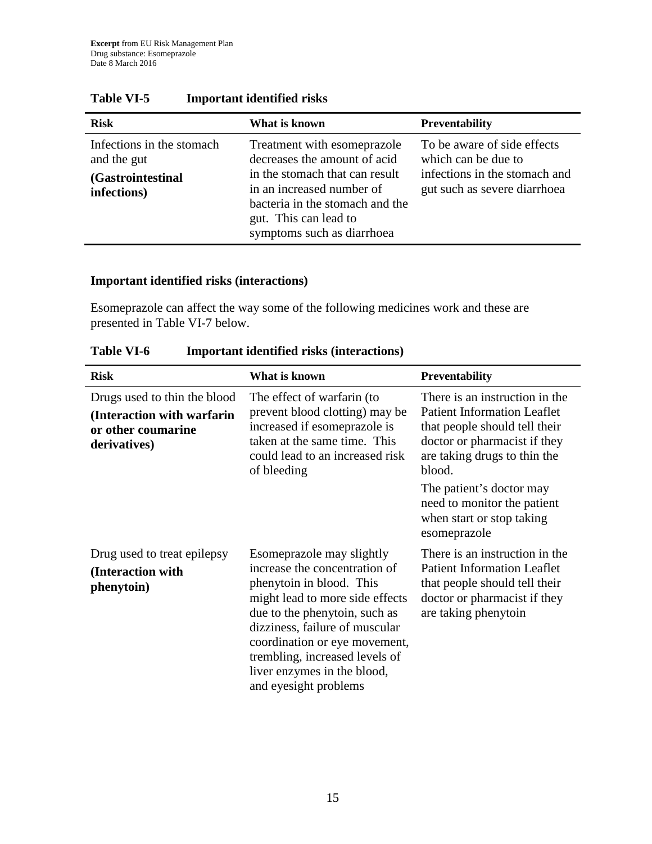| <b>Risk</b>                                                                  | What is known                                                                                                                                                                                                        | <b>Preventability</b>                                                                                               |
|------------------------------------------------------------------------------|----------------------------------------------------------------------------------------------------------------------------------------------------------------------------------------------------------------------|---------------------------------------------------------------------------------------------------------------------|
| Infections in the stomach<br>and the gut<br>(Gastrointestinal<br>infections) | Treatment with esomeprazole<br>decreases the amount of acid<br>in the stomach that can result<br>in an increased number of<br>bacteria in the stomach and the<br>gut. This can lead to<br>symptoms such as diarrhoea | To be aware of side effects<br>which can be due to<br>infections in the stomach and<br>gut such as severe diarrhoea |

## **Table VI-5 Important identified risks**

#### **Important identified risks (interactions)**

Esomeprazole can affect the way some of the following medicines work and these are presented in Table VI-7 below.

| <b>Risk</b>                                                                                      | What is known                                                                                                                                                                                                                                                                                                           | <b>Preventability</b>                                                                                                                                                                                                                                                                   |
|--------------------------------------------------------------------------------------------------|-------------------------------------------------------------------------------------------------------------------------------------------------------------------------------------------------------------------------------------------------------------------------------------------------------------------------|-----------------------------------------------------------------------------------------------------------------------------------------------------------------------------------------------------------------------------------------------------------------------------------------|
| Drugs used to thin the blood<br>(Interaction with warfarin<br>or other coumarine<br>derivatives) | The effect of warfarin (to<br>prevent blood clotting) may be<br>increased if esomeprazole is<br>taken at the same time. This<br>could lead to an increased risk<br>of bleeding                                                                                                                                          | There is an instruction in the<br><b>Patient Information Leaflet</b><br>that people should tell their<br>doctor or pharmacist if they<br>are taking drugs to thin the<br>blood.<br>The patient's doctor may<br>need to monitor the patient<br>when start or stop taking<br>esomeprazole |
| Drug used to treat epilepsy<br>(Interaction with<br>phenytoin)                                   | Esomeprazole may slightly<br>increase the concentration of<br>phenytoin in blood. This<br>might lead to more side effects<br>due to the phenytoin, such as<br>dizziness, failure of muscular<br>coordination or eye movement,<br>trembling, increased levels of<br>liver enzymes in the blood,<br>and eyesight problems | There is an instruction in the<br><b>Patient Information Leaflet</b><br>that people should tell their<br>doctor or pharmacist if they<br>are taking phenytoin                                                                                                                           |

**Table VI-6 Important identified risks (interactions)**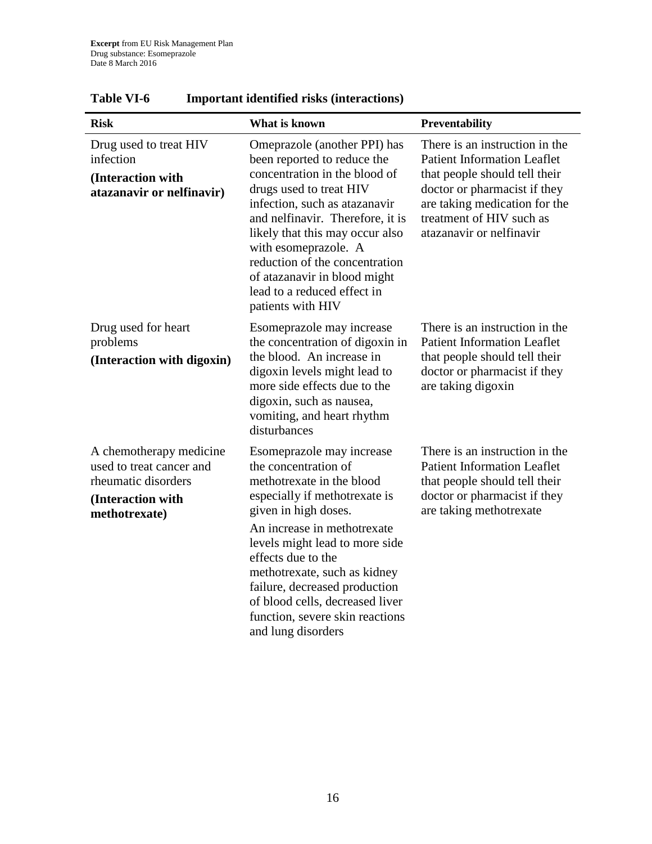| <b>Risk</b>                                                                                                      | What is known                                                                                                                                                                                                                                                                                                                                                                               | Preventability                                                                                                                                                                                                                 |
|------------------------------------------------------------------------------------------------------------------|---------------------------------------------------------------------------------------------------------------------------------------------------------------------------------------------------------------------------------------------------------------------------------------------------------------------------------------------------------------------------------------------|--------------------------------------------------------------------------------------------------------------------------------------------------------------------------------------------------------------------------------|
| Drug used to treat HIV<br>infection<br>(Interaction with<br>atazanavir or nelfinavir)                            | Omeprazole (another PPI) has<br>been reported to reduce the<br>concentration in the blood of<br>drugs used to treat HIV<br>infection, such as atazanavir<br>and nelfinavir. Therefore, it is<br>likely that this may occur also<br>with esomeprazole. A<br>reduction of the concentration<br>of atazanavir in blood might<br>lead to a reduced effect in<br>patients with HIV               | There is an instruction in the<br><b>Patient Information Leaflet</b><br>that people should tell their<br>doctor or pharmacist if they<br>are taking medication for the<br>treatment of HIV such as<br>atazanavir or nelfinavir |
| Drug used for heart<br>problems<br>(Interaction with digoxin)                                                    | Esomeprazole may increase<br>the concentration of digoxin in<br>the blood. An increase in<br>digoxin levels might lead to<br>more side effects due to the<br>digoxin, such as nausea,<br>vomiting, and heart rhythm<br>disturbances                                                                                                                                                         | There is an instruction in the<br><b>Patient Information Leaflet</b><br>that people should tell their<br>doctor or pharmacist if they<br>are taking digoxin                                                                    |
| A chemotherapy medicine<br>used to treat cancer and<br>rheumatic disorders<br>(Interaction with<br>methotrexate) | Esomeprazole may increase<br>the concentration of<br>methotrexate in the blood<br>especially if methotrexate is<br>given in high doses.<br>An increase in methotrexate<br>levels might lead to more side<br>effects due to the<br>methotrexate, such as kidney<br>failure, decreased production<br>of blood cells, decreased liver<br>function, severe skin reactions<br>and lung disorders | There is an instruction in the<br><b>Patient Information Leaflet</b><br>that people should tell their<br>doctor or pharmacist if they<br>are taking methotrexate                                                               |

## **Table VI-6 Important identified risks (interactions)**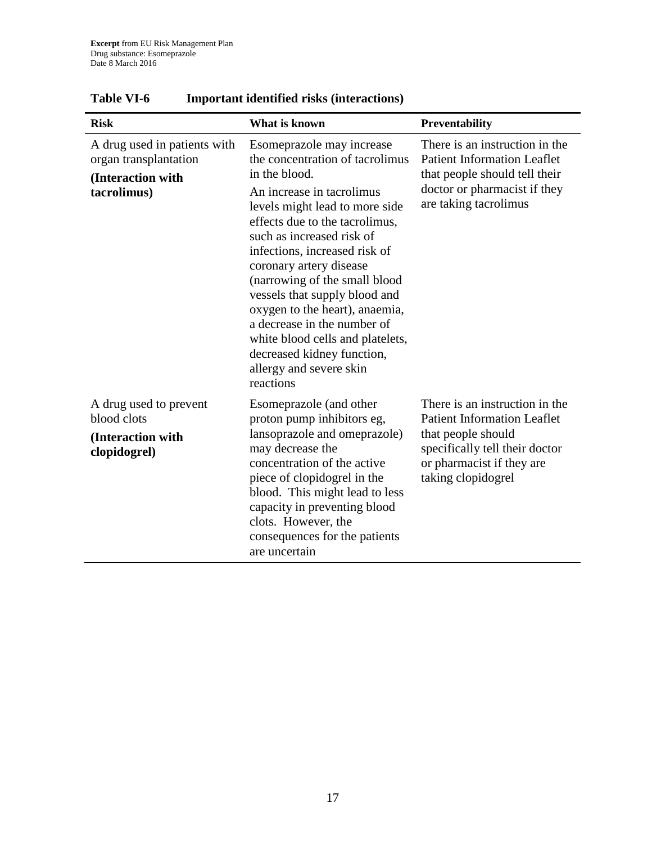| <b>Risk</b>                                                                               | What is known                                                                                                                                                                                                                                                                                                                                                                                                                                                                                                        | Preventability                                                                                                                                                                  |
|-------------------------------------------------------------------------------------------|----------------------------------------------------------------------------------------------------------------------------------------------------------------------------------------------------------------------------------------------------------------------------------------------------------------------------------------------------------------------------------------------------------------------------------------------------------------------------------------------------------------------|---------------------------------------------------------------------------------------------------------------------------------------------------------------------------------|
| A drug used in patients with<br>organ transplantation<br>(Interaction with<br>tacrolimus) | Esomeprazole may increase<br>the concentration of tacrolimus<br>in the blood.<br>An increase in tacrolimus<br>levels might lead to more side<br>effects due to the tacrolimus,<br>such as increased risk of<br>infections, increased risk of<br>coronary artery disease<br>(narrowing of the small blood<br>vessels that supply blood and<br>oxygen to the heart), anaemia,<br>a decrease in the number of<br>white blood cells and platelets,<br>decreased kidney function,<br>allergy and severe skin<br>reactions | There is an instruction in the<br><b>Patient Information Leaflet</b><br>that people should tell their<br>doctor or pharmacist if they<br>are taking tacrolimus                  |
| A drug used to prevent<br>blood clots<br>(Interaction with<br>clopidogrel)                | Esomeprazole (and other<br>proton pump inhibitors eg,<br>lansoprazole and omeprazole)<br>may decrease the<br>concentration of the active<br>piece of clopidogrel in the<br>blood. This might lead to less<br>capacity in preventing blood<br>clots. However, the<br>consequences for the patients<br>are uncertain                                                                                                                                                                                                   | There is an instruction in the<br><b>Patient Information Leaflet</b><br>that people should<br>specifically tell their doctor<br>or pharmacist if they are<br>taking clopidogrel |

## **Table VI-6 Important identified risks (interactions)**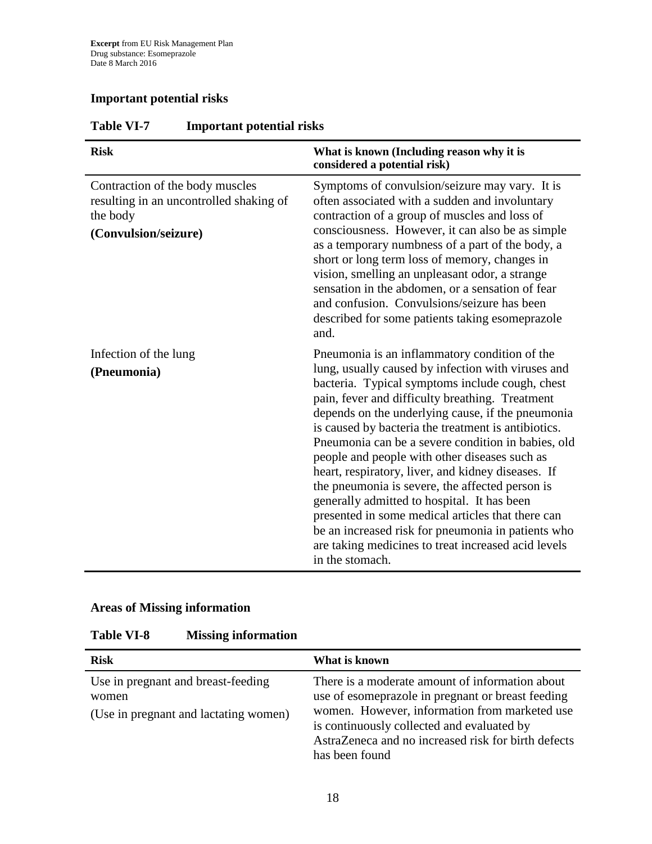## **Important potential risks**

| <b>Risk</b>                                                                                                    | What is known (Including reason why it is<br>considered a potential risk)                                                                                                                                                                                                                                                                                                                                                                                                                                                                                                                                                                                                                                                                                                 |
|----------------------------------------------------------------------------------------------------------------|---------------------------------------------------------------------------------------------------------------------------------------------------------------------------------------------------------------------------------------------------------------------------------------------------------------------------------------------------------------------------------------------------------------------------------------------------------------------------------------------------------------------------------------------------------------------------------------------------------------------------------------------------------------------------------------------------------------------------------------------------------------------------|
| Contraction of the body muscles<br>resulting in an uncontrolled shaking of<br>the body<br>(Convulsion/seizure) | Symptoms of convulsion/seizure may vary. It is<br>often associated with a sudden and involuntary<br>contraction of a group of muscles and loss of<br>consciousness. However, it can also be as simple<br>as a temporary numbness of a part of the body, a<br>short or long term loss of memory, changes in<br>vision, smelling an unpleasant odor, a strange<br>sensation in the abdomen, or a sensation of fear<br>and confusion. Convulsions/seizure has been<br>described for some patients taking esomeprazole<br>and.                                                                                                                                                                                                                                                |
| Infection of the lung<br>(Pneumonia)                                                                           | Pneumonia is an inflammatory condition of the<br>lung, usually caused by infection with viruses and<br>bacteria. Typical symptoms include cough, chest<br>pain, fever and difficulty breathing. Treatment<br>depends on the underlying cause, if the pneumonia<br>is caused by bacteria the treatment is antibiotics.<br>Pneumonia can be a severe condition in babies, old<br>people and people with other diseases such as<br>heart, respiratory, liver, and kidney diseases. If<br>the pneumonia is severe, the affected person is<br>generally admitted to hospital. It has been<br>presented in some medical articles that there can<br>be an increased risk for pneumonia in patients who<br>are taking medicines to treat increased acid levels<br>in the stomach. |

## **Table VI-7 Important potential risks**

## **Areas of Missing information**

| <b>Table VI-8</b> | <b>Missing information</b> |
|-------------------|----------------------------|
|-------------------|----------------------------|

| <b>Risk</b>                                                                          | What is known                                                                                                                                                                                                                                                                |
|--------------------------------------------------------------------------------------|------------------------------------------------------------------------------------------------------------------------------------------------------------------------------------------------------------------------------------------------------------------------------|
| Use in pregnant and breast-feeding<br>women<br>(Use in pregnant and lactating women) | There is a moderate amount of information about<br>use of esomeprazole in pregnant or breast feeding<br>women. However, information from marketed use<br>is continuously collected and evaluated by<br>AstraZeneca and no increased risk for birth defects<br>has been found |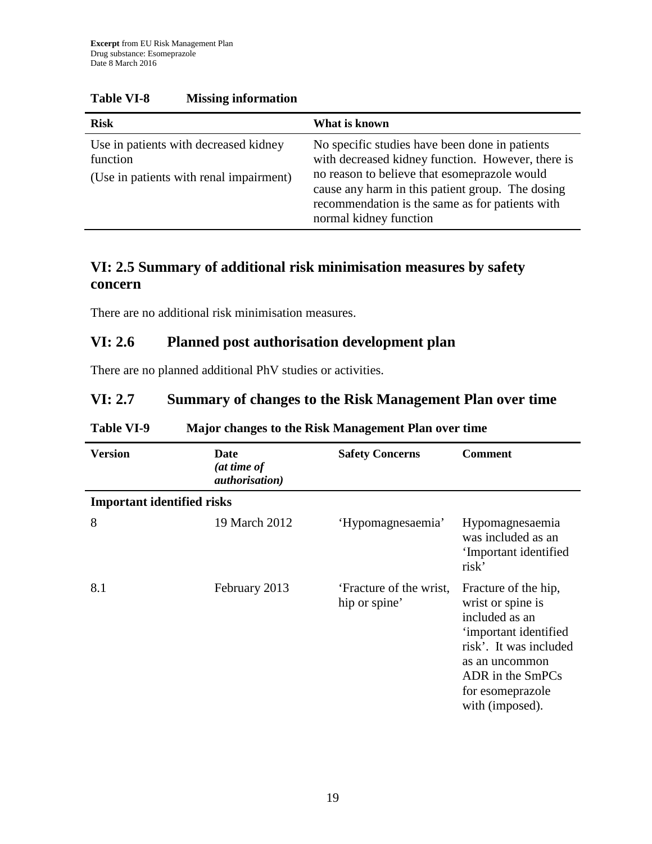| <b>Risk</b>                                                                                  | What is known                                                                                                                                                                                                                                                                        |
|----------------------------------------------------------------------------------------------|--------------------------------------------------------------------------------------------------------------------------------------------------------------------------------------------------------------------------------------------------------------------------------------|
| Use in patients with decreased kidney<br>function<br>(Use in patients with renal impairment) | No specific studies have been done in patients<br>with decreased kidney function. However, there is<br>no reason to believe that esomeprazole would<br>cause any harm in this patient group. The dosing<br>recommendation is the same as for patients with<br>normal kidney function |

#### **Table VI-8 Missing information**

## **VI: 2.5 Summary of additional risk minimisation measures by safety concern**

There are no additional risk minimisation measures.

### **VI: 2.6 Planned post authorisation development plan**

There are no planned additional PhV studies or activities.

## **VI: 2.7 Summary of changes to the Risk Management Plan over time**

| <b>Version</b>                    | Date<br>(at time of<br><i>authorisation</i> ) | <b>Safety Concerns</b>                   | <b>Comment</b>                                                                                                                                                                              |
|-----------------------------------|-----------------------------------------------|------------------------------------------|---------------------------------------------------------------------------------------------------------------------------------------------------------------------------------------------|
| <b>Important identified risks</b> |                                               |                                          |                                                                                                                                                                                             |
| 8                                 | 19 March 2012                                 | 'Hypomagnesaemia'                        | Hypomagnesaemia<br>was included as an<br>'Important identified<br>risk'                                                                                                                     |
| 8.1                               | February 2013                                 | 'Fracture of the wrist,<br>hip or spine' | Fracture of the hip,<br>wrist or spine is<br>included as an<br>'important identified<br>risk'. It was included<br>as an uncommon<br>ADR in the SmPCs<br>for esomeprazole<br>with (imposed). |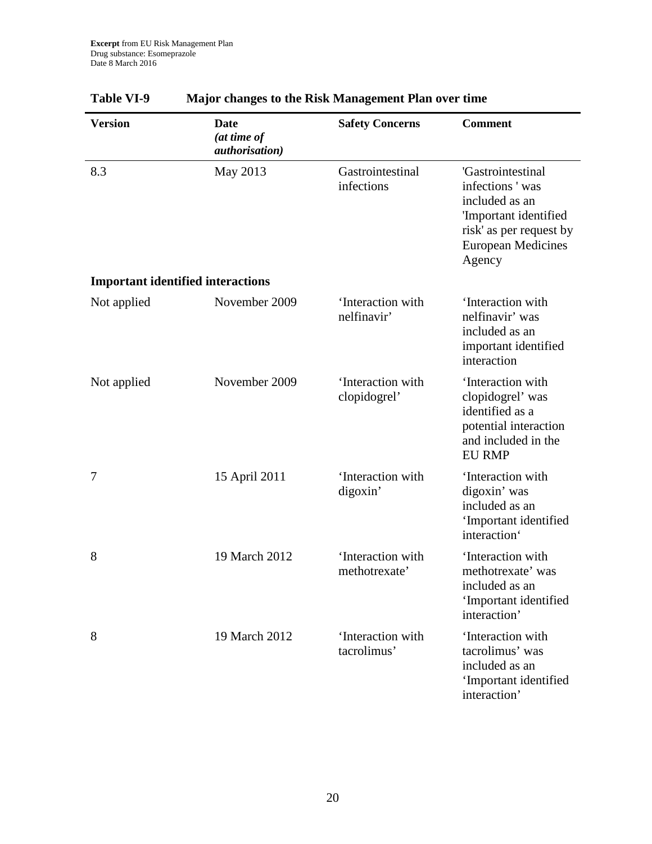| <b>Version</b>                           | Date<br>(at time of<br><i>authorisation</i> ) | <b>Safety Concerns</b>             | <b>Comment</b>                                                                                                                                    |
|------------------------------------------|-----------------------------------------------|------------------------------------|---------------------------------------------------------------------------------------------------------------------------------------------------|
| 8.3                                      | May 2013                                      | Gastrointestinal<br>infections     | 'Gastrointestinal<br>infections 'was<br>included as an<br>'Important identified<br>risk' as per request by<br><b>European Medicines</b><br>Agency |
| <b>Important identified interactions</b> |                                               |                                    |                                                                                                                                                   |
| Not applied                              | November 2009                                 | 'Interaction with<br>nelfinavir'   | 'Interaction with<br>nelfinavir' was<br>included as an<br>important identified<br>interaction                                                     |
| Not applied                              | November 2009                                 | 'Interaction with<br>clopidogrel'  | 'Interaction with<br>clopidogrel' was<br>identified as a<br>potential interaction<br>and included in the<br><b>EU RMP</b>                         |
| 7                                        | 15 April 2011                                 | 'Interaction with<br>digoxin'      | 'Interaction with<br>digoxin' was<br>included as an<br>'Important identified<br>interaction'                                                      |
| 8                                        | 19 March 2012                                 | 'Interaction with<br>methotrexate' | 'Interaction with<br>methotrexate' was<br>included as an<br>'Important identified<br>interaction'                                                 |
| 8                                        | 19 March 2012                                 | 'Interaction with<br>tacrolimus'   | 'Interaction with<br>tacrolimus' was<br>included as an<br>'Important identified<br>interaction'                                                   |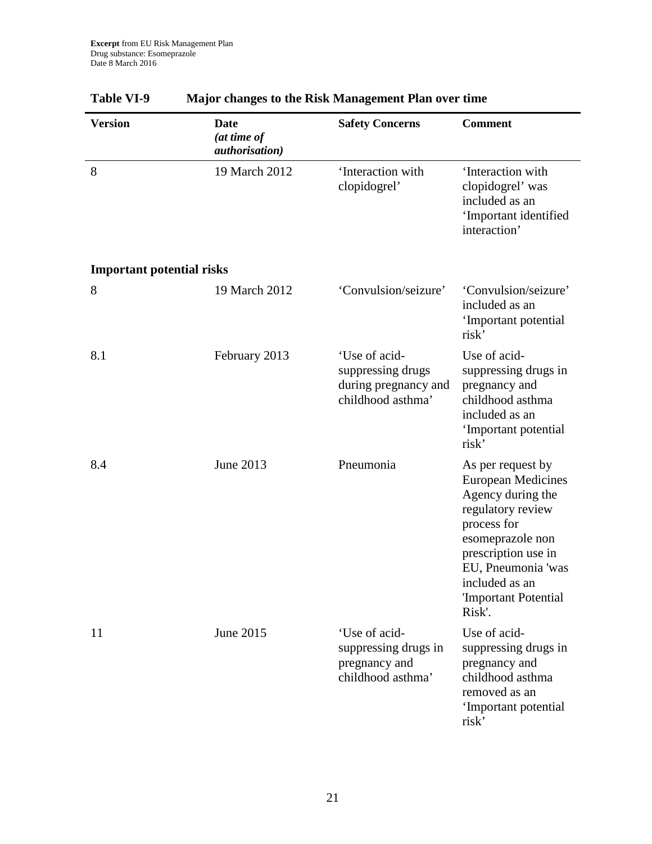| <b>Version</b>                   | <b>Date</b><br>(at time of<br><i>authorisation</i> ) | <b>Safety Concerns</b>                                                          | <b>Comment</b>                                                                                                                                                                                                               |
|----------------------------------|------------------------------------------------------|---------------------------------------------------------------------------------|------------------------------------------------------------------------------------------------------------------------------------------------------------------------------------------------------------------------------|
| 8                                | 19 March 2012                                        | 'Interaction with<br>clopidogrel'                                               | 'Interaction with<br>clopidogrel' was<br>included as an<br>'Important identified<br>interaction'                                                                                                                             |
| <b>Important potential risks</b> |                                                      |                                                                                 |                                                                                                                                                                                                                              |
| 8                                | 19 March 2012                                        | 'Convulsion/seizure'                                                            | 'Convulsion/seizure'<br>included as an<br>'Important potential<br>risk'                                                                                                                                                      |
| 8.1                              | February 2013                                        | 'Use of acid-<br>suppressing drugs<br>during pregnancy and<br>childhood asthma' | Use of acid-<br>suppressing drugs in<br>pregnancy and<br>childhood asthma<br>included as an<br>'Important potential<br>risk'                                                                                                 |
| 8.4                              | June 2013                                            | Pneumonia                                                                       | As per request by<br><b>European Medicines</b><br>Agency during the<br>regulatory review<br>process for<br>esomeprazole non<br>prescription use in<br>EU, Pneumonia 'was<br>included as an<br>'Important Potential<br>Risk'. |
| 11                               | June 2015                                            | 'Use of acid-<br>suppressing drugs in<br>pregnancy and<br>childhood asthma'     | Use of acid-<br>suppressing drugs in<br>pregnancy and<br>childhood asthma<br>removed as an<br>'Important potential<br>risk'                                                                                                  |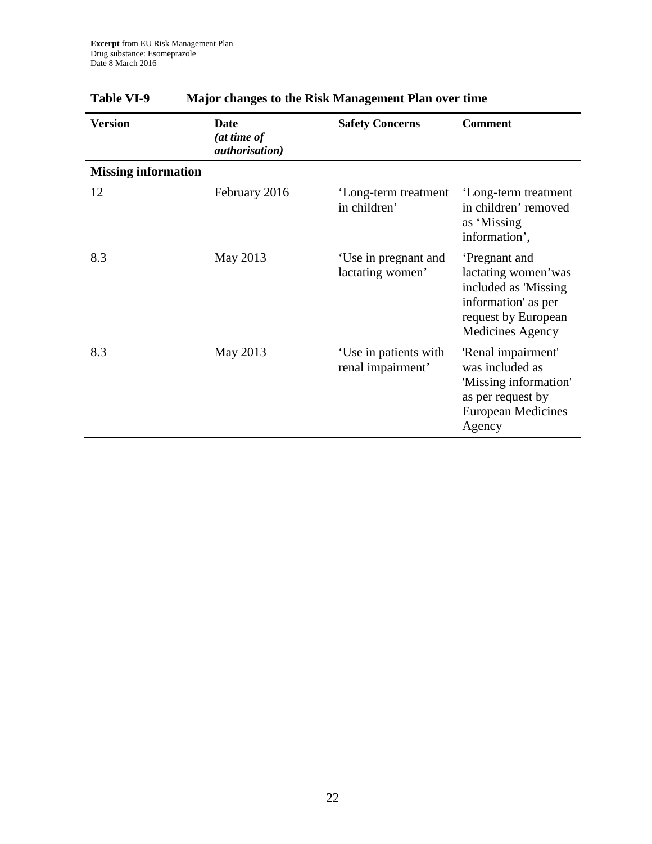| <b>Version</b>             | Date<br>(at time of<br><i>authorisation</i> ) | <b>Safety Concerns</b>                     | <b>Comment</b>                                                                                                                       |
|----------------------------|-----------------------------------------------|--------------------------------------------|--------------------------------------------------------------------------------------------------------------------------------------|
| <b>Missing information</b> |                                               |                                            |                                                                                                                                      |
| 12                         | February 2016                                 | 'Long-term treatment<br>in children'       | 'Long-term treatment<br>in children' removed<br>as 'Missing<br>information',                                                         |
| 8.3                        | May 2013                                      | 'Use in pregnant and<br>lactating women'   | Pregnant and<br>lactating women'was<br>included as 'Missing<br>information' as per<br>request by European<br><b>Medicines Agency</b> |
| 8.3                        | May 2013                                      | 'Use in patients with<br>renal impairment' | 'Renal impairment'<br>was included as<br>'Missing information'<br>as per request by<br><b>European Medicines</b><br>Agency           |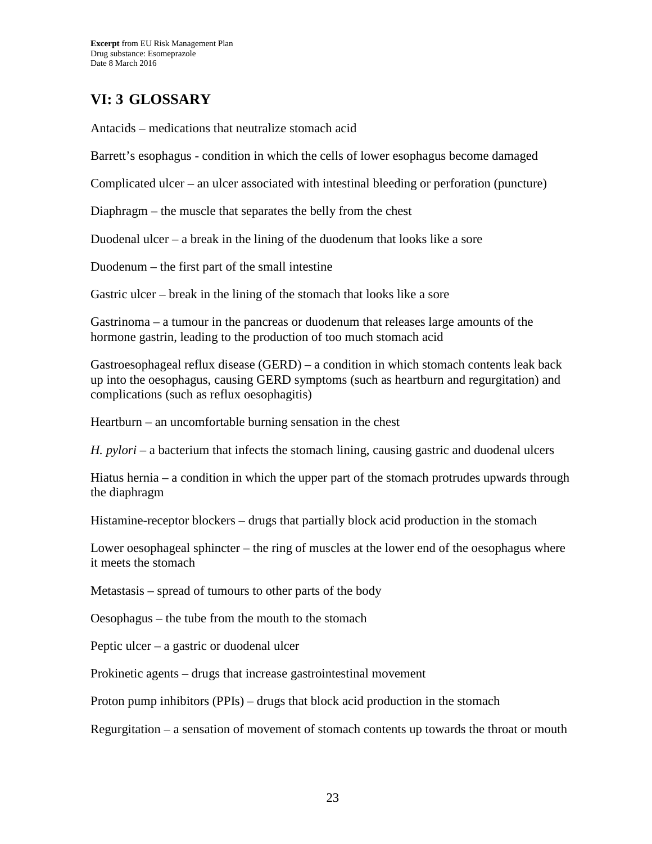## **VI: 3 GLOSSARY**

Antacids – medications that neutralize stomach acid

Barrett's esophagus - condition in which the cells of lower esophagus become damaged

Complicated ulcer – an ulcer associated with intestinal bleeding or perforation (puncture)

Diaphragm – the muscle that separates the belly from the chest

Duodenal ulcer – a break in the lining of the duodenum that looks like a sore

Duodenum – the first part of the small intestine

Gastric ulcer – break in the lining of the stomach that looks like a sore

Gastrinoma – a tumour in the pancreas or duodenum that releases large amounts of the hormone gastrin, leading to the production of too much stomach acid

Gastroesophageal reflux disease (GERD) – a condition in which stomach contents leak back up into the oesophagus, causing GERD symptoms (such as heartburn and regurgitation) and complications (such as reflux oesophagitis)

Heartburn – an uncomfortable burning sensation in the chest

*H. pylori* – a bacterium that infects the stomach lining, causing gastric and duodenal ulcers

Hiatus hernia – a condition in which the upper part of the stomach protrudes upwards through the diaphragm

Histamine-receptor blockers – drugs that partially block acid production in the stomach

Lower oesophageal sphincter – the ring of muscles at the lower end of the oesophagus where it meets the stomach

Metastasis – spread of tumours to other parts of the body

Oesophagus – the tube from the mouth to the stomach

Peptic ulcer – a gastric or duodenal ulcer

Prokinetic agents – drugs that increase gastrointestinal movement

Proton pump inhibitors (PPIs) – drugs that block acid production in the stomach

Regurgitation – a sensation of movement of stomach contents up towards the throat or mouth